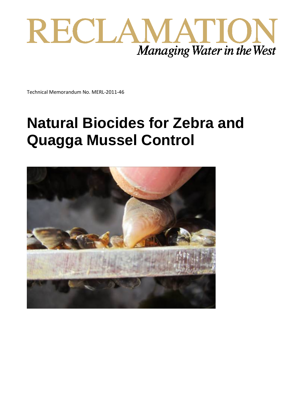

Technical Memorandum No. MERL-2011-46

# **Natural Biocides for Zebra and Quagga Mussel Control**

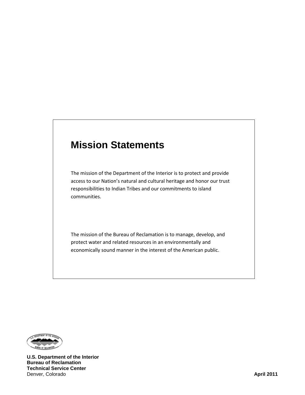### **Mission Statements**

The mission of the Department of the Interior is to protect and provide access to our Nation's natural and cultural heritage and honor our trust responsibilities to Indian Tribes and our commitments to island communities.

The mission of the Bureau of Reclamation is to manage, develop, and protect water and related resources in an environmentally and economically sound manner in the interest of the American public.



**U.S. Department of the Interior Bureau of Reclamation Technical Service Center** Denver, Colorado **April 2011**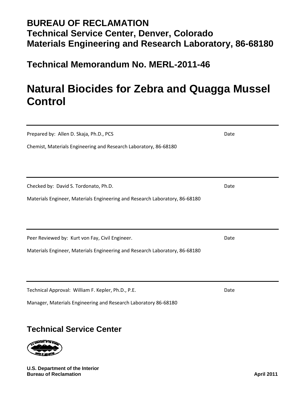### **BUREAU OF RECLAMATION Technical Service Center, Denver, Colorado Materials Engineering and Research Laboratory, 86-68180**

**Technical Memorandum No. MERL-2011-46**

# **Natural Biocides for Zebra and Quagga Mussel Control**

| Prepared by: Allen D. Skaja, Ph.D., PCS                                     | Date |
|-----------------------------------------------------------------------------|------|
| Chemist, Materials Engineering and Research Laboratory, 86-68180            |      |
|                                                                             |      |
|                                                                             |      |
| Checked by: David S. Tordonato, Ph.D.                                       | Date |
| Materials Engineer, Materials Engineering and Research Laboratory, 86-68180 |      |
|                                                                             |      |
|                                                                             |      |
| Peer Reviewed by: Kurt von Fay, Civil Engineer.                             | Date |
| Materials Engineer, Materials Engineering and Research Laboratory, 86-68180 |      |
|                                                                             |      |
|                                                                             |      |
| Technical Approval: William F. Kepler, Ph.D., P.E.                          | Date |
| Manager, Materials Engineering and Research Laboratory 86-68180             |      |

### **Technical Service Center**



**U.S. Department of the Interior Bureau of Reclamation April 2011**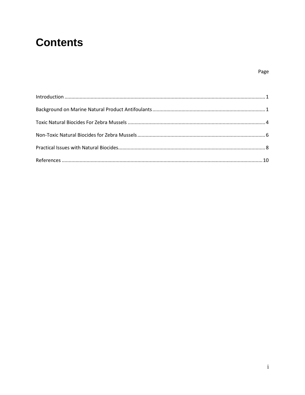## **Contents**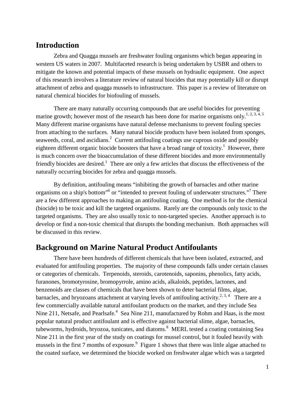#### <span id="page-4-0"></span>**Introduction**

Zebra and Quagga mussels are freshwater fouling organisms which began appearing in western US waters in 2007. Multifaceted research is being undertaken by USBR and others to mitigate the known and potential impacts of these mussels on hydraulic equipment. One aspect of this research involves a literature review of natural biocides that may potentially kill or disrupt attachment of zebra and quagga mussels to infrastructure. This paper is a review of literature on natural chemical biocides for biofouling of mussels.

There are many naturally occurring compounds that are useful biocides for preventing marine growth; however most of the research has been done for marine organisms only.<sup>1, 2, 3, 4, 5</sup> Many different marine organisms have natural defense mechanisms to prevent fouling species from attaching to the surfaces. Many natural biocide products have been isolated from sponges, seaweeds, coral, and ascidians.<sup>2</sup> Current antifouling coatings use cuprous oxide and possibly eighteen different organic biocide boosters that have a broad range of toxicity.<sup>1</sup> However, there is much concern over the bioaccumulation of these different biocides and more environmentally friendly biocides are desired.<sup>1</sup> There are only a few articles that discuss the effectiveness of the naturally occurring biocides for zebra and quagga mussels.

By definition, antifouling means "inhibiting the growth of barnacles and other marine organisms on a ship's bottom"<sup>6</sup> or "intended to prevent fouling of underwater structures."<sup>7</sup> There are a few different approaches to making an antifouling coating. One method is for the chemical (biocide) to be toxic and kill the targeted organisms. Rarely are the compounds only toxic to the targeted organisms. They are also usually toxic to non-targeted species. Another approach is to develop or find a non-toxic chemical that disrupts the bonding mechanism. Both approaches will be discussed in this review.

#### <span id="page-4-1"></span>**Background on Marine Natural Product Antifoulants**

There have been hundreds of different chemicals that have been isolated, extracted, and evaluated for antifouling properties. The majority of these compounds falls under certain classes or categories of chemicals. Terpenoids, steroids, carotenoids, saponins, phenolics, fatty acids, furanones, bromotyrosine, bromopyrrole, amino acids, alkaloids, peptides, lactones, and benzenoids are classes of chemicals that have been shown to deter bacterial films, algae, barnacles, and bryozoans attachment at varying levels of antifouling activity.<sup>2, 3, 4</sup> There are a few commercially available natural antifoulant products on the market, and they include Sea Nine 211, Netsafe, and Pearlsafe.<sup>4</sup> Sea Nine 211, manufactured by Rohm and Haas, is the most popular natural product antifoulant and is effective against bacterial slime, algae, barnacles, tubeworms, hydroids, bryozoa, tunicates, and diatoms. <sup>8</sup> MERL tested a coating containing Sea Nine 211 in the first year of the study on coatings for mussel control, but it fouled heavily with mussels in the first 7 months of exposure.<sup>9</sup> Figure 1 shows that there was little algae attached to the coated surface, we determined the biocide worked on freshwater algae which was a targeted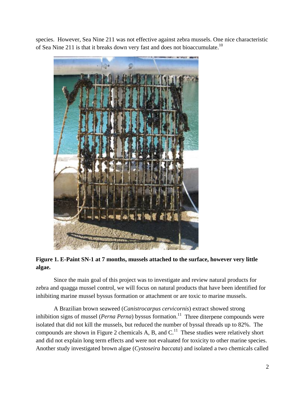species. However, Sea Nine 211 was not effective against zebra mussels. One nice characteristic of Sea Nine 211 is that it breaks down very fast and does not bioaccumulate.<sup>10</sup>



**Figure 1. E-Paint SN-1 at 7 months, mussels attached to the surface, however very little algae.**

Since the main goal of this project was to investigate and review natural products for zebra and quagga mussel control, we will focus on natural products that have been identified for inhibiting marine mussel byssus formation or attachment or are toxic to marine mussels.

A Brazilian brown seaweed (*Canistrocarpus cervicornis*) extract showed strong inhibition signs of mussel (*Perna Perna*) byssus formation.<sup>11</sup> Three diterpene compounds were isolated that did not kill the mussels, but reduced the number of byssal threads up to 82%. The compounds are shown in Figure 2 chemicals A, B, and  $C<sup>11</sup>$  These studies were relatively short and did not explain long term effects and were not evaluated for toxicity to other marine species. Another study investigated brown algae (*Cystoseira baccata*) and isolated a two chemicals called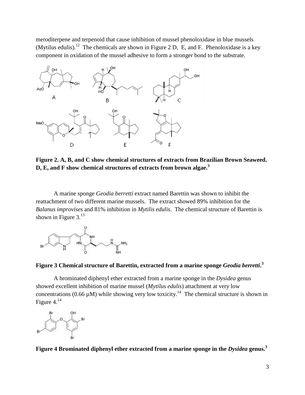meroditerpene and terpenoid that cause inhibition of mussel phenoloxidase in blue mussels (Mytilus edulis).<sup>12</sup> The chemicals are shown in Figure 2 D, E, and F. Phenoloxidase is a key component in oxidation of the mussel adhesive to form a stronger bond to the substrate.



**Figure 2. A, B, and C show chemical structures of extracts from Brazilian Brown Seaweed. D, E, and F show chemical structures of extracts from brown algae. 3**

A marine sponge *Geodia berretti* extract named Barettin was shown to inhibit the reattachment of two different marine mussels. The extract showed 89% inhibition for the *Balanus improvises* and 81% inhibition in *Mytilis edulis*. The chemical structure of Barettin is shown in Figure  $3.^{13}$ 



#### **Figure 3 Chemical structure of Barettin, extracted from a marine sponge** *Geodia berretti***. 3**

A brominated diphenyl ether extracted from a marine sponge in the *Dysidea* genus showed excellent inhibition of marine mussel (*Mytilus edulis*) attachment at very low concentrations (0.66  $\mu$ M) while showing very low toxicity.<sup>14</sup> The chemical structure is shown in Figure 4. $^{14}$ 



**Figure 4** Brominated diphenyl ether extracted from a marine sponge in the *Dysidea* genus.<sup>3</sup>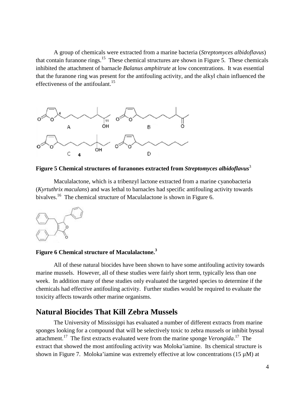A group of chemicals were extracted from a marine bacteria (*Streptomyces albidoflavus*) that contain furanone rings.<sup>15</sup> These chemical structures are shown in Figure 5. These chemicals inhibited the attachment of barnacle *Balanus amphitrute* at low concentrations. It was essential that the furanone ring was present for the antifouling activity, and the alkyl chain influenced the effectiveness of the antifoulant.<sup>15</sup>



**Figure 5 Chemical structures of furanones extracted from** *Streptomyces albidoflavus*<sup>3</sup>

Maculalactone, which is a tribenzyl lactone extracted from a marine cyanobacteria (*Kyrtuthrix maculans*) and was lethal to barnacles had specific antifouling activity towards bivalves.<sup>16</sup> The chemical structure of Maculalactone is shown in Figure 6.



#### **Figure 6 Chemical structure of Maculalactone.<sup>3</sup>**

All of these natural biocides have been shown to have some antifouling activity towards marine mussels. However, all of these studies were fairly short term, typically less than one week. In addition many of these studies only evaluated the targeted species to determine if the chemicals had effective antifouling activity. Further studies would be required to evaluate the toxicity affects towards other marine organisms.

#### <span id="page-7-0"></span>**Natural Biocides That Kill Zebra Mussels**

The University of Mississippi has evaluated a number of different extracts from marine sponges looking for a compound that will be selectively toxic to zebra mussels or inhibit byssal attachment.17 The first extracts evaluated were from the marine sponge *Verongida*. 17 The extract that showed the most antifouling activity was Moloka'iamine. Its chemical structure is shown in Figure 7. Moloka'iamine was extremely effective at low concentrations (15  $\mu$ M) at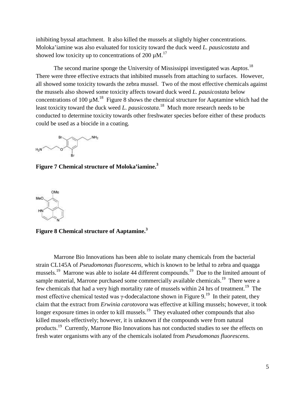inhibiting byssal attachment. It also killed the mussels at slightly higher concentrations. Moloka'iamine was also evaluated for toxicity toward the duck weed *L. pausicostata* and showed low toxicity up to concentrations of 200  $\mu$ M.<sup>17</sup>

The second marine sponge the University of Mississippi investigated was *Aaptos*. 18 There were three effective extracts that inhibited mussels from attaching to surfaces. However, all showed some toxicity towards the zebra mussel. Two of the most effective chemicals against the mussels also showed some toxicity affects toward duck weed *L. pausicostata* below concentrations of 100  $\mu$ M.<sup>18</sup> Figure 8 shows the chemical structure for Aaptamine which had the least toxicity toward the duck weed *L. pausicostata*. 18 Much more research needs to be conducted to determine toxicity towards other freshwater species before either of these products could be used as a biocide in a coating.



**Figure 7 Chemical structure of Moloka'iamine. 3**



**Figure 8 Chemical structure of Aaptamine.3**

Marrone Bio Innovations has been able to isolate many chemicals from the bacterial strain CL145A of *Pseudomonas fluorescens*, which is known to be lethal to zebra and quagga mussels.<sup>19</sup> Marrone was able to isolate 44 different compounds.<sup>19</sup> Due to the limited amount of sample material, Marrone purchased some commercially available chemicals.<sup>19</sup> There were a few chemicals that had a very high mortality rate of mussels within 24 hrs of treatment.<sup>19</sup> The most effective chemical tested was  $\gamma$ -dodecalactone shown in Figure 9.<sup>19</sup> In their patent, they claim that the extract from *Erwinia carotovora* was effective at killing mussels; however, it took longer exposure times in order to kill mussels.<sup>19</sup> They evaluated other compounds that also killed mussels effectively; however, it is unknown if the compounds were from natural products.19 Currently, Marrone Bio Innovations has not conducted studies to see the effects on fresh water organisms with any of the chemicals isolated from *Pseudomonas fluorescens*.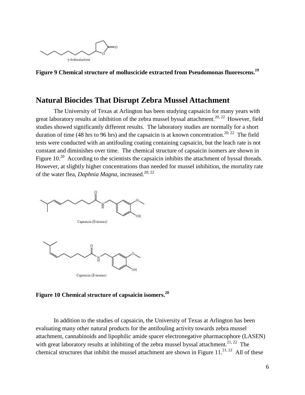

**Figure 9 Chemical structure of molluscicide extracted from Pseudomonas fluorescens. 19**

#### <span id="page-9-0"></span>**Natural Biocides That Disrupt Zebra Mussel Attachment**

The University of Texas at Arlington has been studying capsaicin for many years with great laboratory results at inhibition of the zebra mussel byssal attachment.<sup>20, 22</sup> However, field studies showed significantly different results. The laboratory studies are normally for a short duration of time (48 hrs to 96 hrs) and the capsaicin is at known concentration.<sup>20, 22</sup> The field tests were conducted with an antifouling coating containing capsaicin, but the leach rate is not constant and diminishes over time. The chemical structure of capsaicin isomers are shown in Figure  $10<sup>20</sup>$  According to the scientists the capsaicin inhibits the attachment of byssal threads. However, at slightly higher concentrations than needed for mussel inhibition, the mortality rate of the water flea, *Daphnia Magna*, increased. 20, 22



**Figure 10 Chemical structure of capsaicin isomers.20**

In addition to the studies of capsaicin, the University of Texas at Arlington has been evaluating many other natural products for the antifouling activity towards zebra mussel attachment, cannabinoids and lipophilic amide spacer electronegative pharmacophore (LASEN) with great laboratory results at inhibiting of the zebra mussel byssal attachment.<sup>21, 22</sup> The chemical structures that inhibit the mussel attachment are shown in Figure  $11.^{21, 22}$  All of these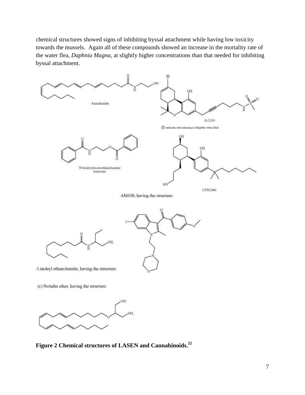chemical structures showed signs of inhibiting byssal attachment while having low toxicity towards the mussels. Again all of these compounds showed an increase in the mortality rate of the water flea, *Daphnia Magna*, at slightly higher concentrations than that needed for inhibiting byssal attachment.



**Figure 2 Chemical structures of LASEN and Cannabinoids.22**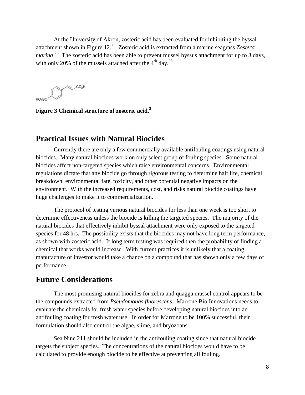At the University of Akron, zosteric acid has been evaluated for inhibiting the byssal attachment shown in Figure 12. 23 Zosteric acid is extracted from a marine seagrass *Zostera*  marina.<sup>23</sup> The zosteric acid has been able to prevent mussel byssus attachment for up to 3 days, with only 20% of the mussels attached after the  $4<sup>th</sup>$  day.<sup>23</sup>

 $\searrow$  CO<sub>2</sub>H

**Figure 3 Chemical structure of zosteric acid.3**

#### <span id="page-11-0"></span>**Practical Issues with Natural Biocides**

Currently there are only a few commercially available antifouling coatings using natural biocides. Many natural biocides work on only select group of fouling species. Some natural biocides affect non-targeted species which raise environmental concerns. Environmental regulations dictate that any biocide go through rigorous testing to determine half life, chemical breakdown, environmental fate, toxicity, and other potential negative impacts on the environment. With the increased requirements, cost, and risks natural biocide coatings have huge challenges to make it to commercialization.

The protocol of testing various natural biocides for less than one week is too short to determine effectiveness unless the biocide is killing the targeted species. The majority of the natural biocides that effectively inhibit byssal attachment were only exposed to the targeted species for 48 hrs. The possibility exists that the biocides may not have long term performance, as shown with zosteric acid. If long term testing was required then the probability of finding a chemical that works would increase. With current practices it is unlikely that a coating manufacture or investor would take a chance on a compound that has shown only a few days of performance.

#### **Future Considerations**

The most promising natural biocides for zebra and quagga mussel control appears to be the compounds extracted from *Pseudomonas fluorescens*. Marrone Bio Innovations needs to evaluate the chemicals for fresh water species before developing natural biocides into an antifouling coating for fresh water use. In order for Marrone to be 100% successful, their formulation should also control the algae, slime, and bryozoans.

Sea Nine 211 should be included in the antifouling coating since that natural biocide targets the subject species. The concentrations of the natural biocides would have to be calculated to provide enough biocide to be effective at preventing all fouling.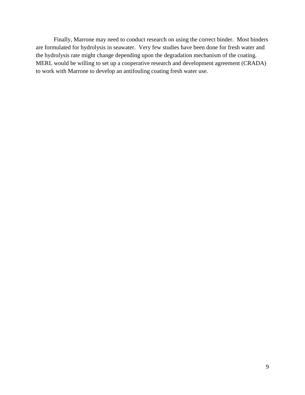Finally, Marrone may need to conduct research on using the correct binder. Most binders are formulated for hydrolysis in seawater. Very few studies have been done for fresh water and the hydrolysis rate might change depending upon the degradation mechanism of the coating. MERL would be willing to set up a cooperative research and development agreement (CRADA) to work with Marrone to develop an antifouling coating fresh water use.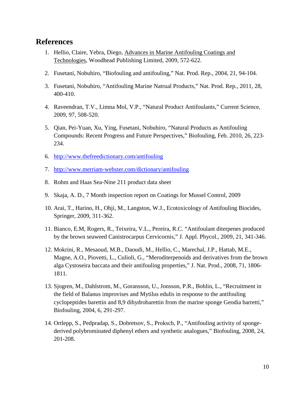#### <span id="page-13-0"></span>**References**

- 1. Hellio, Claire, Yebra, Diego, Advances in Marine Antifouling Coatings and Technologies, Woodhead Publishing Limited, 2009, 572-622.
- 2. Fusetani, Nobuhiro, "Biofouling and antifouling," Nat. Prod. Rep., 2004, 21, 94-104.
- 3. Fusetani, Nobuhiro, "Antifouling Marine Natrual Products," Nat. Prod. Rep., 2011, 28, 400-410.
- 4. Raveendran, T.V., Limna Mol, V.P., "Natural Product Antifoulants," Current Science, 2009, 97, 508-520.
- 5. Qian, Pei-Yuan, Xu, Ying, Fusetani, Nobuhiro, "Natural Products as Antifouling Compounds: Recent Progress and Future Perspectives," Biofouling, Feb. 2010, 26, 223- 234.
- 6. <http://www.thefreedictionary.com/antifouling>
- 7. <http://www.merriam-webster.com/dictionary/antifouling>
- 8. Rohm and Haas Sea-Nine 211 product data sheet
- 9. Skaja, A. D., 7 Month inspection report on Coatings for Mussel Control, 2009
- 10. Arai, T., Harino, H., Ohji, M., Langston, W.J., Ecotoxicology of Antifouling Biocides, Springer, 2009, 311-362.
- 11. Bianco, E.M, Rogers, R., Teixeira, V.L., Pereira, R.C. "Antifoulant diterpenes produced by the brown seaweed Canistrocarpus Cervicornis," J. Appl. Phycol., 2009, 21, 341-346.
- 12. Mokrini, R., Mesaoud, M.B., Daoudi, M., Hellio, C., Marechal, J.P., Hattab, M.E., Magne, A.O., Piovetti, L., Culioli, G., "Meroditerpenoids and derivatives from the brown alga Cystoseira baccata and their antifouling properties," J. Nat. Prod., 2008, 71, 1806- 1811.
- 13. Sjogren, M., Dahlstrom, M., Goransson, U., Jonsson, P.R., Bohlin, L., "Recruitment in the field of Balanus improvises and Mytilus edulis in response to the antifouling cyclopeptides barettin and 8,9 dihydrobarettin from the marine sponge Geodia barretti," Biofouling, 2004, 6, 291-297.
- 14. Ortlepp, S., Pedpradap, S., Dobretsov, S., Proksch, P., "Antifouling activity of spongederived polybrominated diphenyl ethers and synthetic analogues," Biofouling, 2008, 24, 201-208.